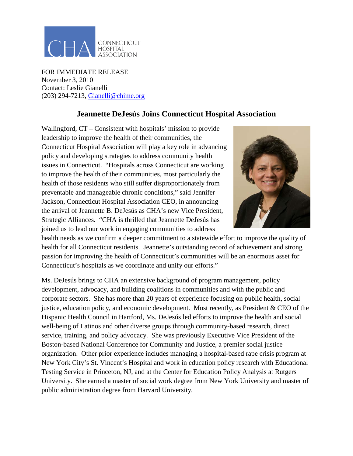

FOR IMMEDIATE RELEASE November 3, 2010 Contact: Leslie Gianelli (203) 294-7213, [Gianelli@chime.org](mailto:Gianelli@chime.org)

## **Jeannette DeJesús Joins Connecticut Hospital Association**

Wallingford,  $CT -$ Consistent with hospitals' mission to provide leadership to improve the health of their communities, the Connecticut Hospital Association will play a key role in advancing policy and developing strategies to address community health issues in Connecticut. "Hospitals across Connecticut are working to improve the health of their communities, most particularly the health of those residents who still suffer disproportionately from preventable and manageable chronic conditions," said Jennifer Jackson, Connecticut Hospital Association CEO, in announcing the arrival of Jeannette B. DeJesús as CHA's new Vice President, Strategic Alliances. "CHA is thrilled that Jeannette DeJesús has joined us to lead our work in engaging communities to address



health needs as we confirm a deeper commitment to a statewide effort to improve the quality of health for all Connecticut residents. Jeannette's outstanding record of achievement and strong passion for improving the health of Connecticut's communities will be an enormous asset for Connecticut's hospitals as we coordinate and unify our efforts."

Ms. DeJesús brings to CHA an extensive background of program management, policy development, advocacy, and building coalitions in communities and with the public and corporate sectors. She has more than 20 years of experience focusing on public health, social justice, education policy, and economic development. Most recently, as President & CEO of the Hispanic Health Council in Hartford, Ms. DeJesús led efforts to improve the health and social well-being of Latinos and other diverse groups through community-based research, direct service, training, and policy advocacy. She was previously Executive Vice President of the Boston-based National Conference for Community and Justice, a premier social justice organization. Other prior experience includes managing a hospital-based rape crisis program at New York City's St. Vincent's Hospital and work in education policy research with Educational Testing Service in Princeton, NJ, and at the Center for Education Policy Analysis at Rutgers University. She earned a master of social work degree from New York University and master of public administration degree from Harvard University.